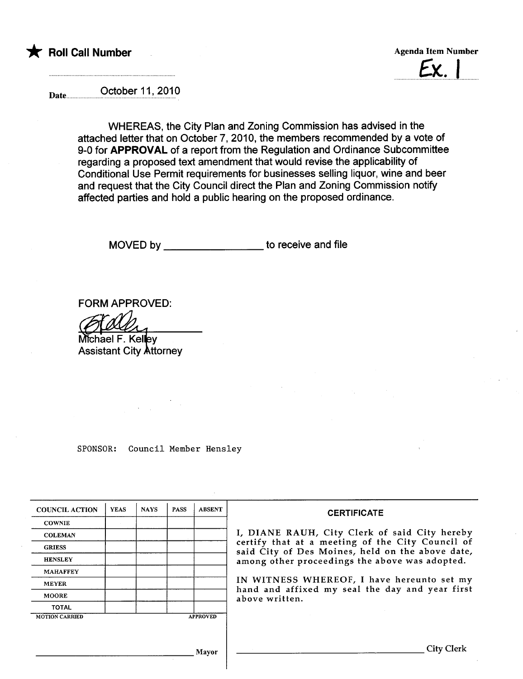

 $Ex.$ 

Date **October 11, 2010** 

WHEREAS, the City Plan and Zoning Commission has advised in the attached letter that on October 7,2010, the members recommended by a vote of 9-0 for APPROVAL of a report from the Regulation and Ordinance Subcommittee regarding a proposed text amendment that would revise the applicability of Conditional Use Permit requirements for businesses sellng liquor, wine and beer and request that the City Council direct the Plan and Zoning Commission notify affected parties and hold a public hearing on the proposed ordinance.

MOVED by \_\_\_\_\_\_\_\_\_\_\_\_\_\_\_\_\_\_\_\_\_ to receive and file

FORM APPROVED:

Michael F. Kelley<br>Assistant City Attorney

SPONSOR: Council Member Hensley

| <b>COUNCIL ACTION</b> | <b>YEAS</b> | <b>NAYS</b> | <b>PASS</b> | <b>ABSENT</b>   | <b>CERTIFICATE</b>                                                                                                                                    |  |  |  |  |  |
|-----------------------|-------------|-------------|-------------|-----------------|-------------------------------------------------------------------------------------------------------------------------------------------------------|--|--|--|--|--|
| <b>COWNIE</b>         |             |             |             |                 |                                                                                                                                                       |  |  |  |  |  |
| <b>COLEMAN</b>        |             |             |             |                 | I, DIANE RAUH, City Clerk of said City hereby<br>certify that at a meeting of the City Council of<br>said City of Des Moines, held on the above date, |  |  |  |  |  |
| <b>GRIESS</b>         |             |             |             |                 |                                                                                                                                                       |  |  |  |  |  |
| <b>HENSLEY</b>        |             |             |             |                 | among other proceedings the above was adopted.                                                                                                        |  |  |  |  |  |
| <b>MAHAFFEY</b>       |             |             |             |                 |                                                                                                                                                       |  |  |  |  |  |
| <b>MEYER</b>          |             |             |             |                 | IN WITNESS WHEREOF, I have hereunto set my<br>hand and affixed my seal the day and year first<br>above written.                                       |  |  |  |  |  |
| <b>MOORE</b>          |             |             |             |                 |                                                                                                                                                       |  |  |  |  |  |
| <b>TOTAL</b>          |             |             |             |                 |                                                                                                                                                       |  |  |  |  |  |
| <b>MOTION CARRIED</b> |             |             |             | <b>APPROVED</b> |                                                                                                                                                       |  |  |  |  |  |
|                       |             |             |             |                 |                                                                                                                                                       |  |  |  |  |  |
|                       |             |             |             |                 |                                                                                                                                                       |  |  |  |  |  |
|                       |             |             |             | Mayor           | City Clerk                                                                                                                                            |  |  |  |  |  |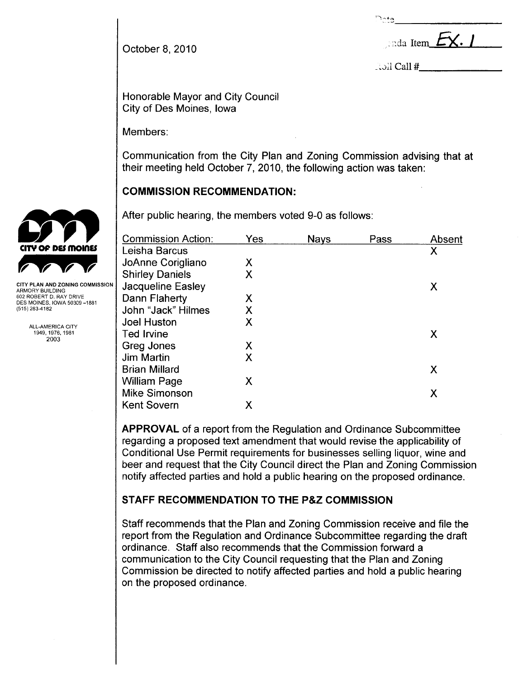$\sim_{\texttt{te}}$ 

October 8, 2010 .  $\qquad \qquad$  October 8, 2010

 $\therefore$  oll Call  $\#$ 

Honorable Mayor and City Council City of Des Moines, Iowa

Members:

Communication from the City Plan and Zoning Commission advising that at their meeting held October 7, 2010, the following action was taken:

# COMMISSION RECOMMENDATION:

After public hearing, the members voted 9-0 as follows:

| <b>Commission Action:</b> | Yes | <b>Nays</b> | Pass | Absent |  |
|---------------------------|-----|-------------|------|--------|--|
| Leisha Barcus             |     |             |      | X      |  |
| JoAnne Corigliano         | X   |             |      |        |  |
| <b>Shirley Daniels</b>    | X   |             |      |        |  |
| Jacqueline Easley         |     |             |      | X      |  |
| Dann Flaherty             | X   |             |      |        |  |
| John "Jack" Hilmes        | Χ   |             |      |        |  |
| <b>Joel Huston</b>        | X   |             |      |        |  |
| <b>Ted Irvine</b>         |     |             |      | X      |  |
| Greg Jones                | X   |             |      |        |  |
| <b>Jim Martin</b>         | X   |             |      |        |  |
| <b>Brian Millard</b>      |     |             |      | X      |  |
| <b>William Page</b>       | X   |             |      |        |  |
| <b>Mike Simonson</b>      |     |             |      | Χ      |  |
| <b>Kent Sovern</b>        | Χ   |             |      |        |  |
|                           |     |             |      |        |  |

APPROVAL of a report from the Regulation and Ordinance Subcommittee regarding a proposed text amendment that would revise the applicability of Conditional Use Permit requirements for businesses selling liquor, wine and beer and request that the City Council direct the Plan and Zoning Commission notify affected parties and hold a public hearing on the proposed ordinance.

# STAFF RECOMMENDATION TO THE P&Z COMMISSION

Staff recommends that the Plan and Zoning Commission receive and file the report from the Regulation and Ordinance Subcommittee regarding the draft ordinance, Staff also recommends that the Commission forward a communication to the City Council requesting that the Plan and Zoning Commission be directed to notify affected parties and hold a public hearing on the proposed ordinance.



CITY PLAN AND ZONING COMMISSION ARMORY BUILDING 602 ROBERT D. RAY DRIVE DES MOINES, IOWA 50309-1881 (515) 283-4182

> ALL-AMERICA CITY 1949,1976,1981 2003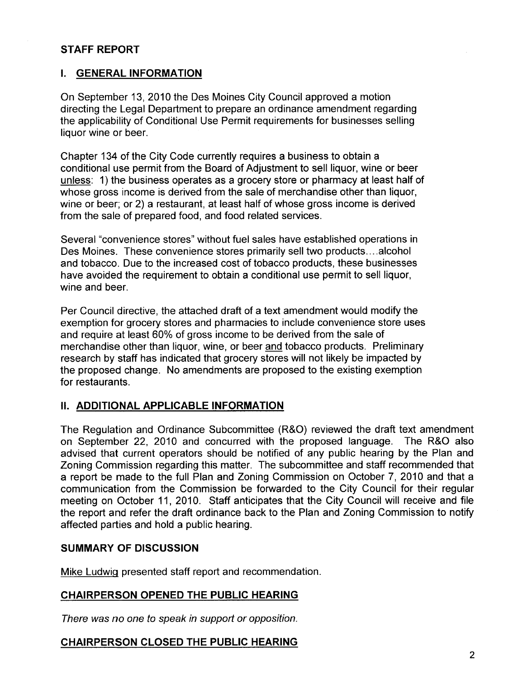### STAFF REPORT

### I. GENERAL INFORMATION

On September 13,2010 the Des Moines City Council approved a motion directing the Legal Department to prepare an ordinance amendment regarding the applicability of Conditional Use Permit requirements for businesses selling liquor wine or beer.

Chapter 134 of the City Code currently requires a business to obtain a conditional use permit from the Board of Adjustment to sell liquor, wine or beer unless: 1) the business operates as a grocery store or pharmacy at least half of whose gross income is derived from the sale of merchandise other than liquor, wine or beer; or 2) a restaurant, at least half of whose gross income is derived from the sale of prepared food, and food related services.

Several "convenience stores" without fuel sales have established operations in Des Moines. These convenience stores primarily sell two products....alcohol and tobacco. Due to the increased cost of tobacco products, these businesses have avoided the requirement to obtain a conditional use permit to sell liquor, wine and beer.

Per Council directive, the attached draft of a text amendment would modify the exemption for grocery stores and pharmacies to include convenience store uses and require at least 60% of gross income to be derived from the sale of merchandise other than liquor, wine, or beer and tobacco products. Preliminary research by staff has indicated that grocery stores will not likely be impacted by the proposed change. No amendments are proposed to the existing exemption for restaurants.

### II. ADDITIONAL APPLICABLE INFORMATION

The Regulation and Ordinance Subcommittee (R&O) reviewed the draft text amendment on September 22, 2010 and concurred with the proposed language. The R&O also advised that current operators should be notified of any public hearing by the Plan and Zoning Commission regarding this matter. The subcommittee and staff recommended that a report be made to the full Plan and Zoning Commission on October 7,2010 and that a communication from the Commission be forwarded to the City Council for their regular meeting on October 11, 2010. Staff anticipates that the City Council will receive and file the report and refer the draft ordinance back to the Plan and Zoning Commission to notify affected parties and hold a public hearing.

#### SUMMARY OF DISCUSSION

Mike Ludwiq presented staff report and recommendation.

#### CHAIRPERSON OPENED THE PUBLIC HEARING

There was no one to speak in support or opposition.

### CHAIRPERSON CLOSED THE PUBLIC HEARING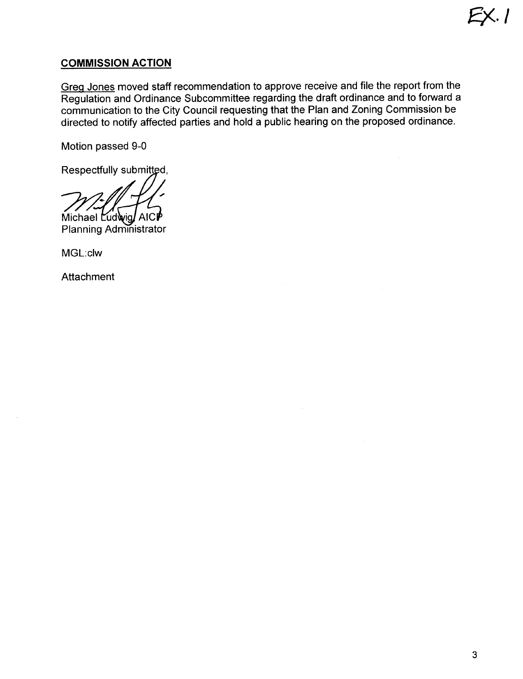## COMMISSION ACTION

Greq Jones moved staff recommendation to approve receive and file the report from the Regulation and Ordinance Subcommittee regarding the draft ordinance and to forward a communication to the City Council requesting that the Plan and Zoning Commission be directed to notify affected parties and hold a public hearing on the proposed ordinance.

Motion passed 9-0

Respectfully submitted,

Michael Ludwig AICP

**Planning Administrator** 

MGL:c1w

**Attachment** 

£). I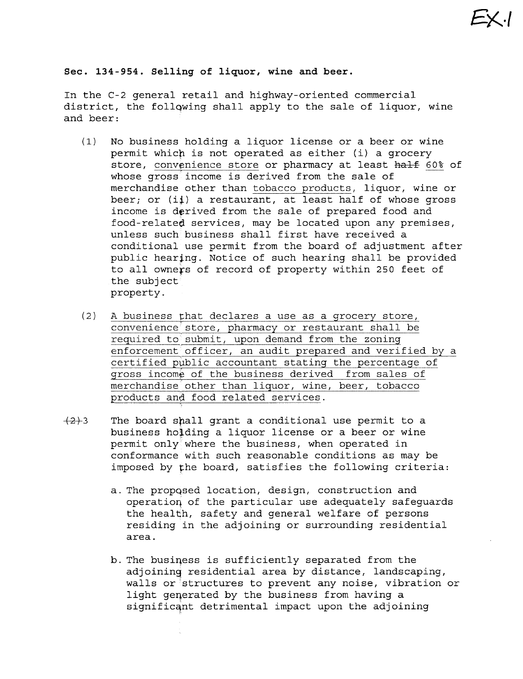Sec. 134-954. Selling of liquor, wine and beer.

In the C-2 general retail and highway-oriented commercial district, the follqwing shall apply to the sale of liquor, wine and beer:

- (l) No business holding a liquor license or a beer or wine permit which is not operated as either (i) a grocery store, convenience store or pharmacy at least half 60% of whose gross income is derived from the sale of merchandise other than tobacco products, liquor, wine or beer; or  $(i)$  a restaurant, at least half of whose gross income is derived from the sale of prepared food and food-relateó services, may be located upon any premises, unless such business shall first have received a conditional use permit from the board of adjustment after public hearing. Notice of such hearing shall be provided to all owners of record of property within 250 feet of the subject property.
- (2) A business that declares a use as a grocery store,  $convenience<sup>i</sup> store, pharmacy or restaurant shall be$ required to submit, upon demand from the zoning enforcement officer, an audit prepared and verified by a certified public accountant stating the percentage of gross income of the business derived from sales of merchandise other than liquor, wine, beer, tobacco products and food related services.
- $\{2\}$ 3 The board shall grant a conditional use permit to a business holding a liquor license or a beer or wine permit only where the business, when operated in conformance with such reasonable conditions as may be imposed by the board, satisfies the following criteria:
	- a. The propased location, design, construction and operatioq of the particular use adequately safeguards the health, safety and general welfare of persons residing in the adjoining or surrounding residential area.
	- b. The busiqess is sufficiently separated from the adjoining residential area by distance, landscaping, walls or 'structures to prevent any noise, vibration or light generated by the business from having a significant detrimental impact upon the adjoining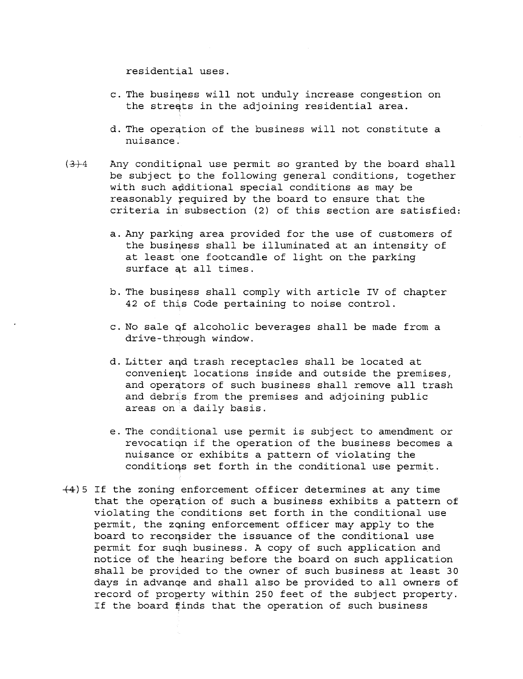residential uses.

- c. The busiqess will not unduly increase congestion on the streets in the adjoining residential area.
- d. The operation of the business will not constitute a nuisance.
- $(3)$ -4 Any conditional use permit so granted by the board shall be subject to the following general conditions, together with such additional special conditions as may be reasonably required by the board to ensure that the criteria in subsection (2) of this section are satisfied:
	- a. Any parking area provided for the use of customers of the business shall be illuminated at an intensity of at least one footcandle of light on the parking surface at all times.
	- b. The business shall comply with article IV of chapter 42 of this Code pertaining to noise control.
	- c. No sale qf alcoholic beverages shall be made from a dri ve - through window.
	- d. Litter aqd trash receptacles shall be located at convenieqt locations inside and outside the premises, and operators of such business shall remove all trash and debris from the premises and adjoining public areas on a daily basis.
	- e. The conditional use permit is subject to amendment or revocatiqn if the operation of the business becomes a nuisance or exhibits a pattern of violating the conditioqs set forth in the conditional use permit.
- +4) 5 If the zoning enforcement officer determines at any time that the operation of such a business exhibits a pattern of violating the 'conditions set forth in the conditional use permit, the zQning enforcement officer may apply to the board to recoqsider the issuance of the conditional use permit for suqh business. A copy of such application and notice of the hearing before the board on such application shall be provided to the owner of such business at least 30 days in advanqe and shall also be provided to all owners of record of property within 250 feet of the subject property. If the board finds that the operation of such business